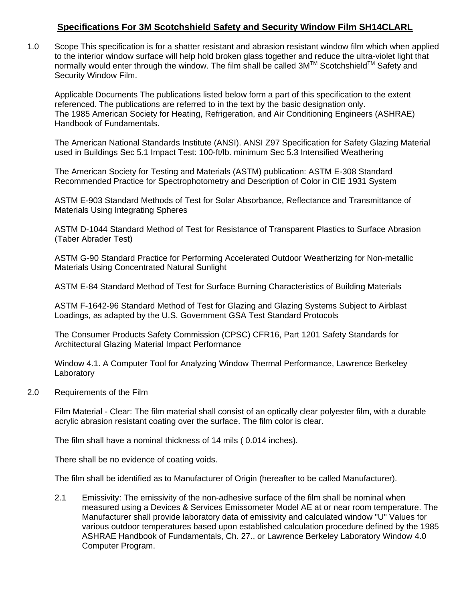## **Specifications For 3M Scotchshield Safety and Security Window Film SH14CLARL**

1.0 Scope This specification is for a shatter resistant and abrasion resistant window film which when applied to the interior window surface will help hold broken glass together and reduce the ultra-violet light that normally would enter through the window. The film shall be called 3M™ Scotchshield™ Safety and Security Window Film.

Applicable Documents The publications listed below form a part of this specification to the extent referenced. The publications are referred to in the text by the basic designation only. The 1985 American Society for Heating, Refrigeration, and Air Conditioning Engineers (ASHRAE) Handbook of Fundamentals.

The American National Standards Institute (ANSI). ANSI Z97 Specification for Safety Glazing Material used in Buildings Sec 5.1 Impact Test: 100-ft/lb. minimum Sec 5.3 Intensified Weathering

The American Society for Testing and Materials (ASTM) publication: ASTM E-308 Standard Recommended Practice for Spectrophotometry and Description of Color in CIE 1931 System

ASTM E-903 Standard Methods of Test for Solar Absorbance, Reflectance and Transmittance of Materials Using Integrating Spheres

ASTM D-1044 Standard Method of Test for Resistance of Transparent Plastics to Surface Abrasion (Taber Abrader Test)

ASTM G-90 Standard Practice for Performing Accelerated Outdoor Weatherizing for Non-metallic Materials Using Concentrated Natural Sunlight

ASTM E-84 Standard Method of Test for Surface Burning Characteristics of Building Materials

ASTM F-1642-96 Standard Method of Test for Glazing and Glazing Systems Subject to Airblast Loadings, as adapted by the U.S. Government GSA Test Standard Protocols

The Consumer Products Safety Commission (CPSC) CFR16, Part 1201 Safety Standards for Architectural Glazing Material Impact Performance

Window 4.1. A Computer Tool for Analyzing Window Thermal Performance, Lawrence Berkeley Laboratory

2.0 Requirements of the Film

Film Material - Clear: The film material shall consist of an optically clear polyester film, with a durable acrylic abrasion resistant coating over the surface. The film color is clear.

The film shall have a nominal thickness of 14 mils ( 0.014 inches).

There shall be no evidence of coating voids.

The film shall be identified as to Manufacturer of Origin (hereafter to be called Manufacturer).

2.1 Emissivity: The emissivity of the non-adhesive surface of the film shall be nominal when measured using a Devices & Services Emissometer Model AE at or near room temperature. The Manufacturer shall provide laboratory data of emissivity and calculated window "U" Values for various outdoor temperatures based upon established calculation procedure defined by the 1985 ASHRAE Handbook of Fundamentals, Ch. 27., or Lawrence Berkeley Laboratory Window 4.0 Computer Program.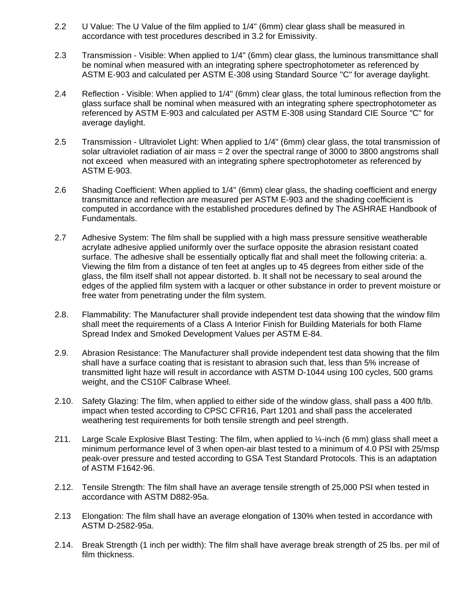- 2.2 U Value: The U Value of the film applied to 1/4" (6mm) clear glass shall be measured in accordance with test procedures described in 3.2 for Emissivity.
- 2.3 Transmission Visible: When applied to 1/4" (6mm) clear glass, the luminous transmittance shall be nominal when measured with an integrating sphere spectrophotometer as referenced by ASTM E-903 and calculated per ASTM E-308 using Standard Source "C" for average daylight.
- 2.4 Reflection Visible: When applied to 1/4" (6mm) clear glass, the total luminous reflection from the glass surface shall be nominal when measured with an integrating sphere spectrophotometer as referenced by ASTM E-903 and calculated per ASTM E-308 using Standard CIE Source "C" for average daylight.
- 2.5 Transmission Ultraviolet Light: When applied to 1/4" (6mm) clear glass, the total transmission of solar ultraviolet radiation of air mass = 2 over the spectral range of 3000 to 3800 angstroms shall not exceed when measured with an integrating sphere spectrophotometer as referenced by ASTM E-903.
- 2.6 Shading Coefficient: When applied to 1/4" (6mm) clear glass, the shading coefficient and energy transmittance and reflection are measured per ASTM E-903 and the shading coefficient is computed in accordance with the established procedures defined by The ASHRAE Handbook of Fundamentals.
- 2.7 Adhesive System: The film shall be supplied with a high mass pressure sensitive weatherable acrylate adhesive applied uniformly over the surface opposite the abrasion resistant coated surface. The adhesive shall be essentially optically flat and shall meet the following criteria: a. Viewing the film from a distance of ten feet at angles up to 45 degrees from either side of the glass, the film itself shall not appear distorted. b. It shall not be necessary to seal around the edges of the applied film system with a lacquer or other substance in order to prevent moisture or free water from penetrating under the film system.
- 2.8. Flammability: The Manufacturer shall provide independent test data showing that the window film shall meet the requirements of a Class A Interior Finish for Building Materials for both Flame Spread Index and Smoked Development Values per ASTM E-84.
- 2.9. Abrasion Resistance: The Manufacturer shall provide independent test data showing that the film shall have a surface coating that is resistant to abrasion such that, less than 5% increase of transmitted light haze will result in accordance with ASTM D-1044 using 100 cycles, 500 grams weight, and the CS10F Calbrase Wheel.
- 2.10. Safety Glazing: The film, when applied to either side of the window glass, shall pass a 400 ft/lb. impact when tested according to CPSC CFR16, Part 1201 and shall pass the accelerated weathering test requirements for both tensile strength and peel strength.
- 211. Large Scale Explosive Blast Testing: The film, when applied to  $\frac{1}{4}$ -inch (6 mm) glass shall meet a minimum performance level of 3 when open-air blast tested to a minimum of 4.0 PSI with 25/msp peak-over pressure and tested according to GSA Test Standard Protocols. This is an adaptation of ASTM F1642-96.
- 2.12. Tensile Strength: The film shall have an average tensile strength of 25,000 PSI when tested in accordance with ASTM D882-95a.
- 2.13 Elongation: The film shall have an average elongation of 130% when tested in accordance with ASTM D-2582-95a.
- 2.14. Break Strength (1 inch per width): The film shall have average break strength of 25 lbs. per mil of film thickness.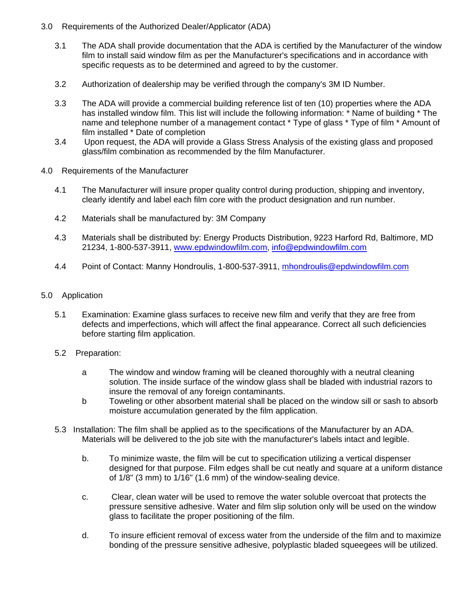- 3.0 Requirements of the Authorized Dealer/Applicator (ADA)
	- 3.1 The ADA shall provide documentation that the ADA is certified by the Manufacturer of the window film to install said window film as per the Manufacturer's specifications and in accordance with specific requests as to be determined and agreed to by the customer.
	- 3.2 Authorization of dealership may be verified through the company's 3M ID Number.
	- 3.3 The ADA will provide a commercial building reference list of ten (10) properties where the ADA has installed window film. This list will include the following information: \* Name of building \* The name and telephone number of a management contact \* Type of glass \* Type of film \* Amount of film installed \* Date of completion
	- 3.4 Upon request, the ADA will provide a Glass Stress Analysis of the existing glass and proposed glass/film combination as recommended by the film Manufacturer.
- 4.0 Requirements of the Manufacturer
	- 4.1 The Manufacturer will insure proper quality control during production, shipping and inventory, clearly identify and label each film core with the product designation and run number.
	- 4.2 Materials shall be manufactured by: 3M Company
	- 4.3 Materials shall be distributed by: Energy Products Distribution, 9223 Harford Rd, Baltimore, MD 21234, 1-800-537-3911, [www.epdwindowfilm.com,](http://www.epdwindowfilm.com/) [info@epdwindowfilm.com](mailto:info@epdwindowfilm.com)
	- 4.4 Point of Contact: Manny Hondroulis, 1-800-537-3911, mhondroulis@epdwindowfilm.com
- 5.0 Application
	- 5.1 Examination: Examine glass surfaces to receive new film and verify that they are free from defects and imperfections, which will affect the final appearance. Correct all such deficiencies before starting film application.
	- 5.2 Preparation:
		- a The window and window framing will be cleaned thoroughly with a neutral cleaning solution. The inside surface of the window glass shall be bladed with industrial razors to insure the removal of any foreign contaminants.
		- b Toweling or other absorbent material shall be placed on the window sill or sash to absorb moisture accumulation generated by the film application.
	- 5.3 Installation: The film shall be applied as to the specifications of the Manufacturer by an ADA. Materials will be delivered to the job site with the manufacturer's labels intact and legible.
		- b. To minimize waste, the film will be cut to specification utilizing a vertical dispenser designed for that purpose. Film edges shall be cut neatly and square at a uniform distance of 1/8" (3 mm) to 1/16" (1.6 mm) of the window-sealing device.
		- c. Clear, clean water will be used to remove the water soluble overcoat that protects the pressure sensitive adhesive. Water and film slip solution only will be used on the window glass to facilitate the proper positioning of the film.
		- d. To insure efficient removal of excess water from the underside of the film and to maximize bonding of the pressure sensitive adhesive, polyplastic bladed squeegees will be utilized.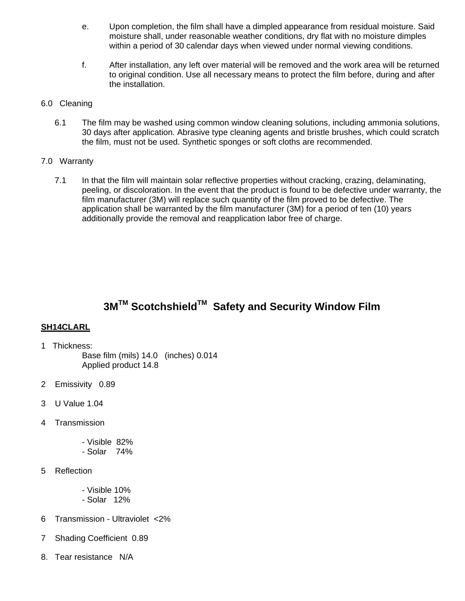- e. Upon completion, the film shall have a dimpled appearance from residual moisture. Said moisture shall, under reasonable weather conditions, dry flat with no moisture dimples within a period of 30 calendar days when viewed under normal viewing conditions.
- f. After installation, any left over material will be removed and the work area will be returned to original condition. Use all necessary means to protect the film before, during and after the installation.

### 6.0 Cleaning

6.1 The film may be washed using common window cleaning solutions, including ammonia solutions, 30 days after application. Abrasive type cleaning agents and bristle brushes, which could scratch the film, must not be used. Synthetic sponges or soft cloths are recommended.

### 7.0 Warranty

7.1 In that the film will maintain solar reflective properties without cracking, crazing, delaminating, peeling, or discoloration. In the event that the product is found to be defective under warranty, the film manufacturer (3M) will replace such quantity of the film proved to be defective. The application shall be warranted by the film manufacturer (3M) for a period of ten (10) years additionally provide the removal and reapplication labor free of charge.

# **3MTM ScotchshieldTM Safety and Security Window Film**

## **SH14CLARL**

- 1 Thickness:
	- Base film (mils) 14.0 (inches) 0.014 Applied product 14.8
- 2 Emissivity 0.89
- 3 U Value 1.04
- 4 Transmission
	- Visible 82%
	- Solar 74%
- 5 Reflection
	- Visible 10% - Solar 12%
- 6 Transmission Ultraviolet <2%
- 7 Shading Coefficient 0.89
- 8. Tear resistance N/A